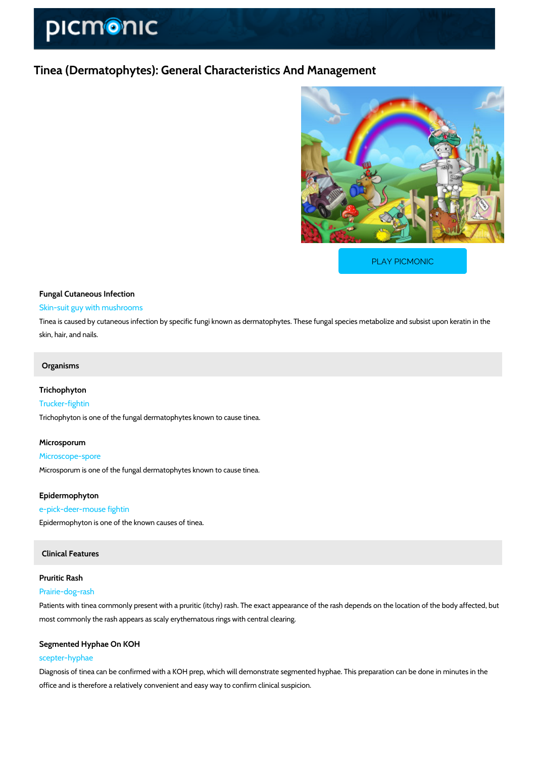# Tinea (Dermatophytes): General Characteristics And Mana

[PLAY PICMONIC](https://www.picmonic.com/learn/tinea-dermatophytes-general-characteristics-and-management_50129?utm_source=downloadable_content&utm_medium=distributedcontent&utm_campaign=pathways_pdf&utm_content=Tinea (Dermatophytes): General Characteristics And Management&utm_ad_group=leads&utm_market=all)

# Fungal Cutaneous Infection Skin-suit guy with mushrooms

Tinea is caused by cutaneous infection by specific fungi known as dermatophytes. These fung skin, hair, and nails.

# Organisms

# Trichophyton

Trucker-fightin Trichophyton is one of the fungal dermatophytes known to cause tinea.

## Microsporum

Microscope-spore

Microsporum is one of the fungal dermatophytes known to cause tinea.

### Epidermophyton

#### e-pick-deer-mouse fightin

Epidermophyton is one of the known causes of tinea.

# Clinical Features

## Pruritic Rash

#### Prairie-dog-rash

Patients with tinea commonly present with a pruritic (itchy) rash. The exact appearance of the most commonly the rash appears as scaly erythematous rings with central clearing.

# Segmented Hyphae On KOH

### scepter-hyphae

Diagnosis of tinea can be confirmed with a KOH prep, which will demonstrate segmented hyphate. office and is therefore a relatively convenient and easy way to confirm clinical suspicion.